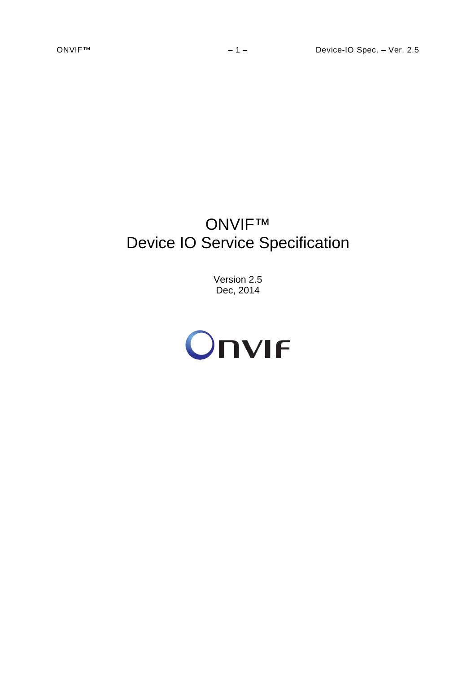# ONVIF™ Device IO Service Specification

Version 2.5 Dec, 2014

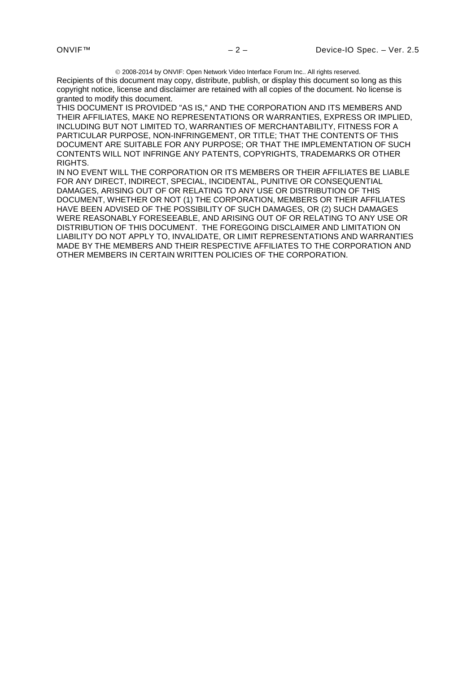2008-2014 by ONVIF: Open Network Video Interface Forum Inc.. All rights reserved.

Recipients of this document may copy, distribute, publish, or display this document so long as this copyright notice, license and disclaimer are retained with all copies of the document. No license is granted to modify this document.

THIS DOCUMENT IS PROVIDED "AS IS," AND THE CORPORATION AND ITS MEMBERS AND THEIR AFFILIATES, MAKE NO REPRESENTATIONS OR WARRANTIES, EXPRESS OR IMPLIED, INCLUDING BUT NOT LIMITED TO, WARRANTIES OF MERCHANTABILITY, FITNESS FOR A PARTICULAR PURPOSE, NON-INFRINGEMENT, OR TITLE; THAT THE CONTENTS OF THIS DOCUMENT ARE SUITABLE FOR ANY PURPOSE; OR THAT THE IMPLEMENTATION OF SUCH CONTENTS WILL NOT INFRINGE ANY PATENTS, COPYRIGHTS, TRADEMARKS OR OTHER RIGHTS.

IN NO EVENT WILL THE CORPORATION OR ITS MEMBERS OR THEIR AFFILIATES BE LIABLE FOR ANY DIRECT, INDIRECT, SPECIAL, INCIDENTAL, PUNITIVE OR CONSEQUENTIAL DAMAGES, ARISING OUT OF OR RELATING TO ANY USE OR DISTRIBUTION OF THIS DOCUMENT, WHETHER OR NOT (1) THE CORPORATION, MEMBERS OR THEIR AFFILIATES HAVE BEEN ADVISED OF THE POSSIBILITY OF SUCH DAMAGES, OR (2) SUCH DAMAGES WERE REASONABLY FORESEEABLE, AND ARISING OUT OF OR RELATING TO ANY USE OR DISTRIBUTION OF THIS DOCUMENT. THE FOREGOING DISCLAIMER AND LIMITATION ON LIABILITY DO NOT APPLY TO, INVALIDATE, OR LIMIT REPRESENTATIONS AND WARRANTIES MADE BY THE MEMBERS AND THEIR RESPECTIVE AFFILIATES TO THE CORPORATION AND OTHER MEMBERS IN CERTAIN WRITTEN POLICIES OF THE CORPORATION.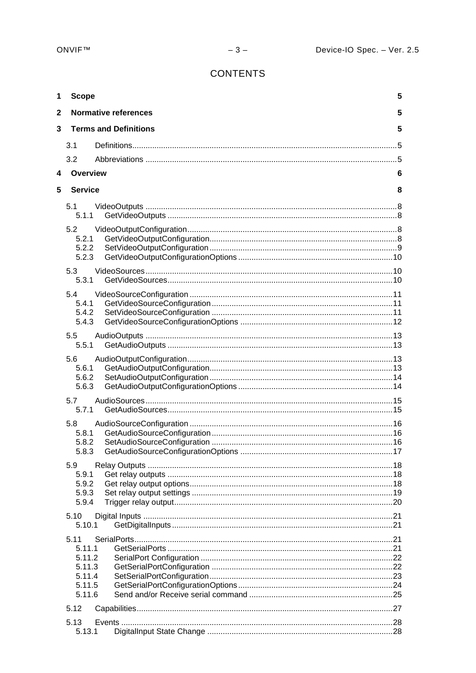# **CONTENTS**

| 1            | <b>Scope</b>                                                     |                              | 5 |
|--------------|------------------------------------------------------------------|------------------------------|---|
| $\mathbf{2}$ |                                                                  | <b>Normative references</b>  | 5 |
| 3            |                                                                  | <b>Terms and Definitions</b> | 5 |
|              | 3.1                                                              |                              |   |
|              | 3.2                                                              |                              |   |
| 4            | Overview                                                         |                              | 6 |
| 5            | <b>Service</b>                                                   |                              | 8 |
|              | 5.1<br>5.1.1                                                     |                              |   |
|              | 5.2<br>5.2.1<br>5.2.2<br>5.2.3                                   |                              |   |
|              | 5.3                                                              |                              |   |
|              | 5.3.1<br>5.4<br>5.4.1<br>5.4.2<br>5.4.3                          |                              |   |
|              | 5.5<br>5.5.1                                                     |                              |   |
|              | 5.6<br>5.6.1<br>5.6.2<br>5.6.3                                   |                              |   |
|              | 5.7<br>5.7.1                                                     |                              |   |
|              | 5.8<br>5.8.1<br>5.8.2<br>5.8.3                                   |                              |   |
|              | 5.9<br>5.9.1<br>5.9.2<br>5.9.3<br>5.9.4                          |                              |   |
|              | 5.10<br>5.10.1                                                   |                              |   |
|              | 5.11<br>5.11.1<br>5.11.2<br>5.11.3<br>5.11.4<br>5.11.5<br>5.11.6 |                              |   |
|              | 5.12                                                             |                              |   |
|              | 5.13<br>5.13.1                                                   |                              |   |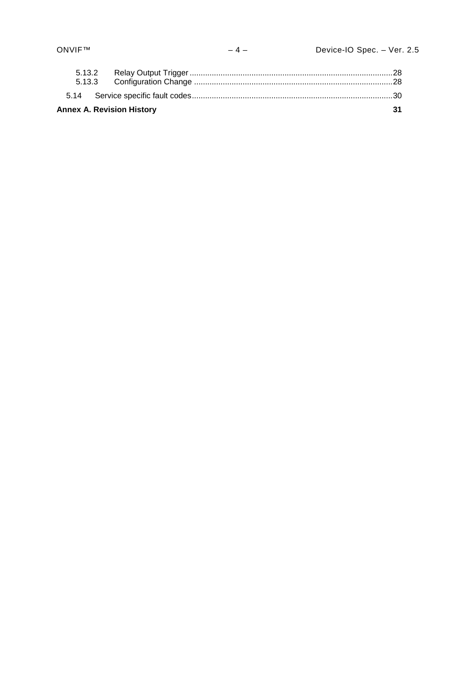| <b>Annex A. Revision History</b> | ี่ 21 |
|----------------------------------|-------|
|                                  |       |
|                                  |       |
|                                  |       |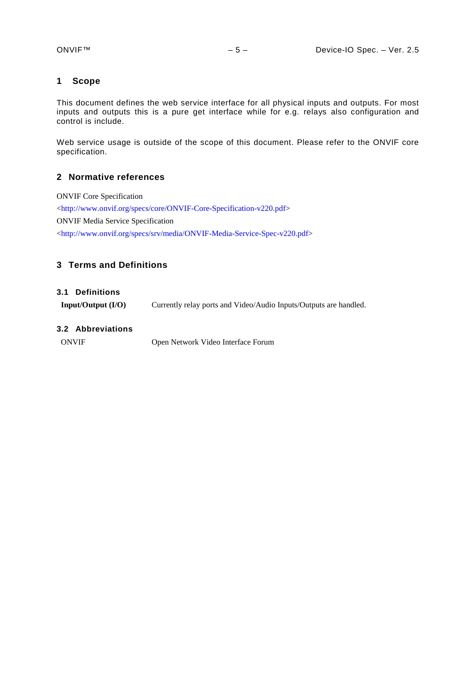## <span id="page-4-0"></span>**1 Scope**

This document defines the web service interface for all physical inputs and outputs. For most inputs and outputs this is a pure get interface while for e.g. relays also configuration and control is include.

Web service usage is outside of the scope of this document. Please refer to the ONVIF core specification.

#### <span id="page-4-1"></span>**2 Normative references**

ONVIF Core Specification [<http://www.onvif.org/specs/core/ONVIF-Core-Specification-v220.pdf>](http://www.onvif.org/specs/core/ONVIF-Core-Specification-v211.pdf) ONVIF Media Service Specification [<http://www.onvif.org/specs/srv/media/ONVIF-Media-Service-Spec-v220.pdf>](http://www.onvif.org/specs/srv/media/ONVIF-Media-Service-Spec-v211.pdf)

## <span id="page-4-2"></span>**3 Terms and Definitions**

#### <span id="page-4-3"></span>**3.1 Definitions**

**Input/Output (I/O)** Currently relay ports and Video/Audio Inputs/Outputs are handled.

#### <span id="page-4-4"></span>**3.2 Abbreviations**

ONVIF Open Network Video Interface Forum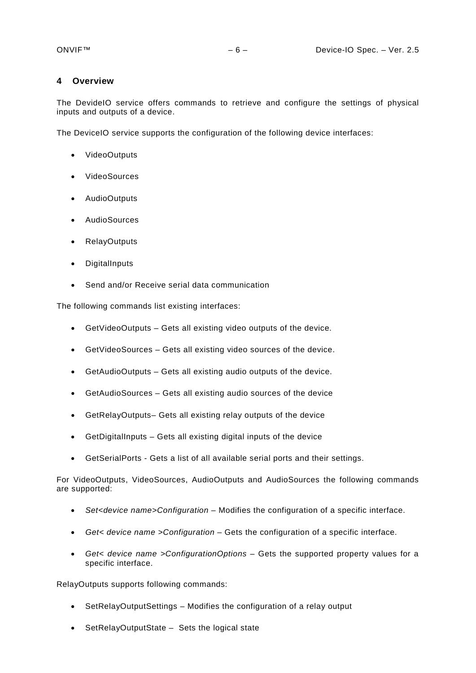#### <span id="page-5-0"></span>**4 Overview**

The DevideIO service offers commands to retrieve and configure the settings of physical inputs and outputs of a device.

The DeviceIO service supports the configuration of the following device interfaces:

- VideoOutputs
- VideoSources
- AudioOutputs
- AudioSources
- RelayOutputs
- **DigitalInputs**
- Send and/or Receive serial data communication

The following commands list existing interfaces:

- GetVideoOutputs Gets all existing video outputs of the device.
- GetVideoSources Gets all existing video sources of the device.
- GetAudioOutputs Gets all existing audio outputs of the device.
- GetAudioSources Gets all existing audio sources of the device
- GetRelayOutputs– Gets all existing relay outputs of the device
- GetDigitalInputs Gets all existing digital inputs of the device
- GetSerialPorts Gets a list of all available serial ports and their settings.

For VideoOutputs, VideoSources, AudioOutputs and AudioSources the following commands are supported:

- *Set<device name>Configuration* Modifies the configuration of a specific interface.
- *Get< device name >Configuration* Gets the configuration of a specific interface.
- *Get< device name >ConfigurationOptions* Gets the supported property values for a specific interface.

RelayOutputs supports following commands:

- SetRelayOutputSettings Modifies the configuration of a relay output
- SetRelayOutputState Sets the logical state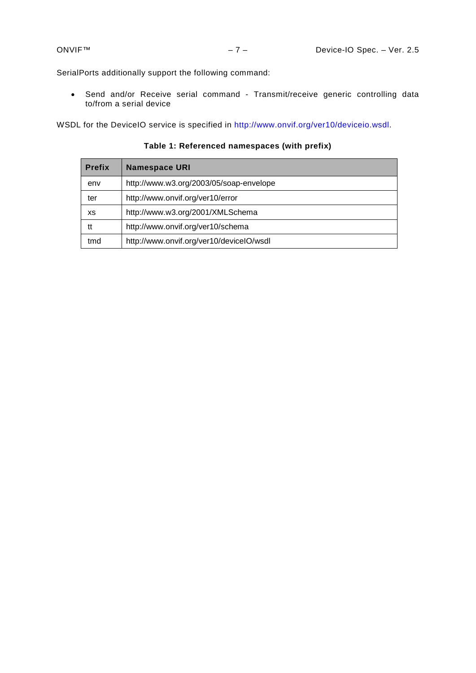SerialPorts additionally support the following command:

• Send and/or Receive serial command - Transmit/receive generic controlling data to/from a serial device

WSDL for the DeviceIO service is specified in [http://www.onvif.org/ver10/deviceio.wsdl.](http://www.onvif.org/ver10/deviceio.wsdl)

**Prefix Namespace URI** env http://www.w3.org/2003/05/soap-envelope ter http://www.onvif.org/ver10/error xs | http://www.w3.org/2001/XMLSchema tt http://www.onvif.org/ver10/schema tmd http://www.onvif.org/ver10/deviceIO/wsdl

# **Table 1: Referenced namespaces (with prefix)**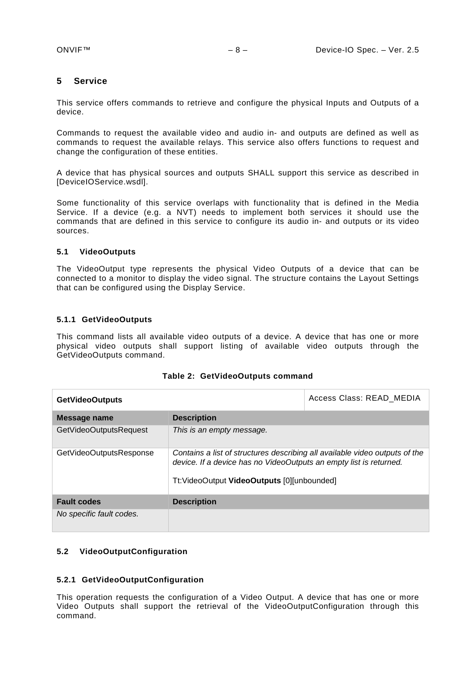#### <span id="page-7-0"></span>**5 Service**

This service offers commands to retrieve and configure the physical Inputs and Outputs of a device.

Commands to request the available video and audio in- and outputs are defined as well as commands to request the available relays. This service also offers functions to request and change the configuration of these entities.

A device that has physical sources and outputs SHALL support this service as described in [DeviceIOService.wsdl].

Some functionality of this service overlaps with functionality that is defined in the Media Service. If a device (e.g. a NVT) needs to implement both services it should use the commands that are defined in this service to configure its audio in- and outputs or its video sources.

#### <span id="page-7-1"></span>**5.1 VideoOutputs**

The VideoOutput type represents the physical Video Outputs of a device that can be connected to a monitor to display the video signal. The structure contains the Layout Settings that can be configured using the Display Service.

#### <span id="page-7-2"></span>**5.1.1 GetVideoOutputs**

This command lists all available video outputs of a device. A device that has one or more physical video outputs shall support listing of available video outputs through the GetVideoOutputs command.

| <b>GetVideoOutputs</b>   | Access Class: READ MEDIA                                                                                                                                                                         |  |
|--------------------------|--------------------------------------------------------------------------------------------------------------------------------------------------------------------------------------------------|--|
| Message name             | <b>Description</b>                                                                                                                                                                               |  |
| GetVideoOutputsRequest   | This is an empty message.                                                                                                                                                                        |  |
| GetVideoOutputsResponse  | Contains a list of structures describing all available video outputs of the<br>device. If a device has no VideoOutputs an empty list is returned.<br>Tt: VideoOutput VideoOutputs [0][unbounded] |  |
| <b>Fault codes</b>       | <b>Description</b>                                                                                                                                                                               |  |
| No specific fault codes. |                                                                                                                                                                                                  |  |

#### <span id="page-7-3"></span>**5.2 VideoOutputConfiguration**

#### <span id="page-7-4"></span>**5.2.1 GetVideoOutputConfiguration**

This operation requests the configuration of a Video Output. A device that has one or more Video Outputs shall support the retrieval of the VideoOutputConfiguration through this command.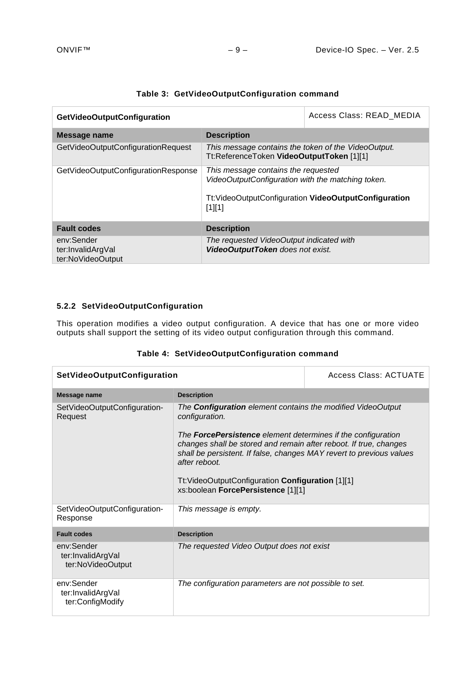| <b>GetVideoOutputConfiguration</b>                   |                                                                                                                                                             | Access Class: READ MEDIA |
|------------------------------------------------------|-------------------------------------------------------------------------------------------------------------------------------------------------------------|--------------------------|
| Message name                                         | <b>Description</b>                                                                                                                                          |                          |
| GetVideoOutputConfigurationRequest                   | This message contains the token of the VideoOutput.<br>Tt:ReferenceToken VideoOutputToken [1][1]                                                            |                          |
| GetVideoOutputConfigurationResponse                  | This message contains the requested<br>VideoOutputConfiguration with the matching token.<br>Tt: VideoOutputConfiguration VideoOutputConfiguration<br>[1][1] |                          |
| <b>Fault codes</b>                                   | <b>Description</b>                                                                                                                                          |                          |
| env:Sender<br>ter:InvalidArgVal<br>ter:NoVideoOutput | The requested VideoOutput indicated with<br>VideoOutputToken does not exist.                                                                                |                          |

# **Table 3: GetVideoOutputConfiguration command**

# <span id="page-8-0"></span>**5.2.2 SetVideoOutputConfiguration**

This operation modifies a video output configuration. A device that has one or more video outputs shall support the setting of its video output configuration through this command.

|  |  | Table 4: SetVideoOutputConfiguration command |  |
|--|--|----------------------------------------------|--|
|--|--|----------------------------------------------|--|

| <b>SetVideoOutputConfiguration</b>                   | Access Class: ACTUATE                                                                                                                                                                                                                                                                                                                                                                                                |  |
|------------------------------------------------------|----------------------------------------------------------------------------------------------------------------------------------------------------------------------------------------------------------------------------------------------------------------------------------------------------------------------------------------------------------------------------------------------------------------------|--|
| Message name                                         | <b>Description</b>                                                                                                                                                                                                                                                                                                                                                                                                   |  |
| SetVideoOutputConfiguration-<br>Request              | The <b>Configuration</b> element contains the modified VideoOutput<br>configuration.<br>The <b>ForcePersistence</b> element determines if the configuration<br>changes shall be stored and remain after reboot. If true, changes<br>shall be persistent. If false, changes MAY revert to previous values<br>after reboot.<br>Tt: VideoOutputConfiguration Configuration [1][1]<br>xs:boolean ForcePersistence [1][1] |  |
| SetVideoOutputConfiguration-<br>Response             | This message is empty.                                                                                                                                                                                                                                                                                                                                                                                               |  |
| <b>Fault codes</b>                                   | <b>Description</b>                                                                                                                                                                                                                                                                                                                                                                                                   |  |
| env:Sender<br>ter:InvalidArgVal<br>ter:NoVideoOutput | The requested Video Output does not exist                                                                                                                                                                                                                                                                                                                                                                            |  |
| env:Sender<br>ter:InvalidArgVal<br>ter:ConfigModify  | The configuration parameters are not possible to set.                                                                                                                                                                                                                                                                                                                                                                |  |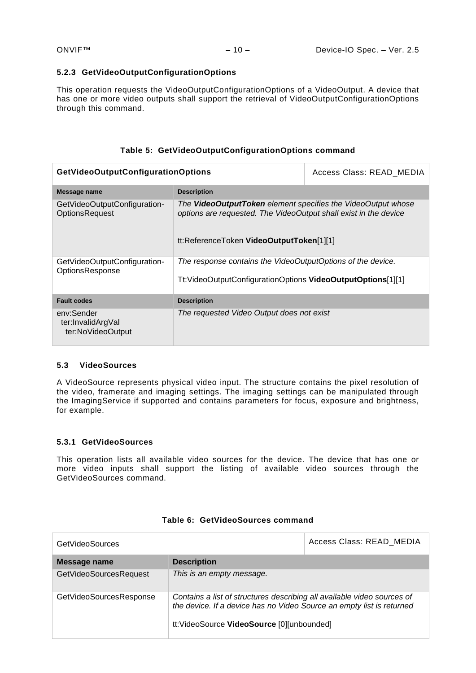#### <span id="page-9-0"></span>**5.2.3 GetVideoOutputConfigurationOptions**

This operation requests the VideoOutputConfigurationOptions of a VideoOutput. A device that has one or more video outputs shall support the retrieval of VideoOutputConfigurationOptions through this command.

## **Table 5: GetVideoOutputConfigurationOptions command**

| <b>GetVideoOutputConfigurationOptions</b>              | Access Class: READ_MEDIA                                                                                                                                                     |  |
|--------------------------------------------------------|------------------------------------------------------------------------------------------------------------------------------------------------------------------------------|--|
| Message name                                           | <b>Description</b>                                                                                                                                                           |  |
| GetVideoOutputConfiguration-<br><b>OptionsRequest</b>  | The VideoOutputToken element specifies the VideoOutput whose<br>options are requested. The VideoOutput shall exist in the device<br>tt:ReferenceToken VideoOutputToken[1][1] |  |
| GetVideoOutputConfiguration-<br><b>OptionsResponse</b> | The response contains the VideoOutputOptions of the device.                                                                                                                  |  |
|                                                        | Tt: VideoOutputConfigurationOptions VideoOutputOptions[1][1]                                                                                                                 |  |
| <b>Fault codes</b>                                     | <b>Description</b>                                                                                                                                                           |  |
| env:Sender<br>ter:InvalidArgVal<br>ter:NoVideoOutput   | The requested Video Output does not exist                                                                                                                                    |  |

## <span id="page-9-1"></span>**5.3 VideoSources**

A VideoSource represents physical video input. The structure contains the pixel resolution of the video, framerate and imaging settings. The imaging settings can be manipulated through the ImagingService if supported and contains parameters for focus, exposure and brightness, for example.

## <span id="page-9-2"></span>**5.3.1 GetVideoSources**

This operation lists all available video sources for the device. The device that has one or more video inputs shall support the listing of available video sources through the GetVideoSources command.

| <b>GetVideoSources</b>  |                                                                                                                                                                                               | Access Class: READ MEDIA |
|-------------------------|-----------------------------------------------------------------------------------------------------------------------------------------------------------------------------------------------|--------------------------|
| Message name            | <b>Description</b>                                                                                                                                                                            |                          |
| GetVideoSourcesRequest  | This is an empty message.                                                                                                                                                                     |                          |
| GetVideoSourcesResponse | Contains a list of structures describing all available video sources of<br>the device. If a device has no Video Source an empty list is returned<br>tt:VideoSource VideoSource [0][unbounded] |                          |

#### **Table 6: GetVideoSources command**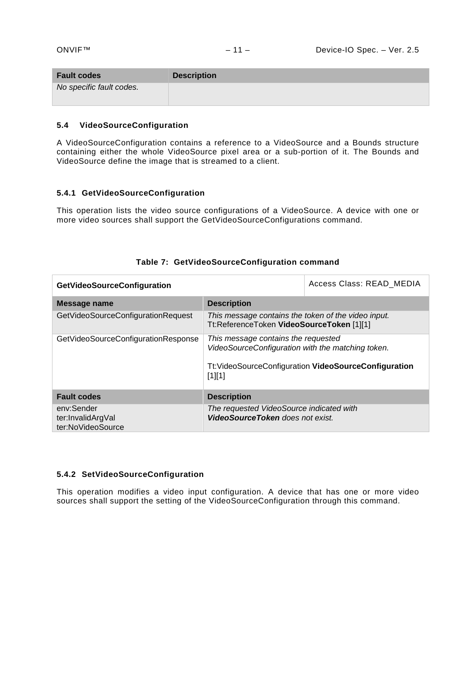| <b>Fault codes</b>       | <b>Description</b> |
|--------------------------|--------------------|
| No specific fault codes. |                    |

#### <span id="page-10-0"></span>**5.4 VideoSourceConfiguration**

A VideoSourceConfiguration contains a reference to a VideoSource and a Bounds structure containing either the whole VideoSource pixel area or a sub-portion of it. The Bounds and VideoSource define the image that is streamed to a client.

#### <span id="page-10-1"></span>**5.4.1 GetVideoSourceConfiguration**

This operation lists the video source configurations of a VideoSource. A device with one or more video sources shall support the GetVideoSourceConfigurations command.

| <b>GetVideoSourceConfiguration</b>                   |                                                                                                                                                                   | Access Class: READ MEDIA |
|------------------------------------------------------|-------------------------------------------------------------------------------------------------------------------------------------------------------------------|--------------------------|
| Message name                                         | <b>Description</b>                                                                                                                                                |                          |
| GetVideoSourceConfigurationRequest                   | This message contains the token of the video input.<br>Tt:ReferenceToken VideoSourceToken [1][1]                                                                  |                          |
| GetVideoSourceConfigurationResponse                  | This message contains the requested<br>VideoSourceConfiguration with the matching token.<br>Tt: Video Source Configuration Video Source Configuration<br>$[1][1]$ |                          |
| <b>Fault codes</b>                                   | <b>Description</b>                                                                                                                                                |                          |
| env:Sender<br>ter:InvalidArgVal<br>ter:NoVideoSource | The requested VideoSource indicated with<br><b>VideoSourceToken</b> does not exist.                                                                               |                          |

# **Table 7: GetVideoSourceConfiguration command**

#### <span id="page-10-2"></span>**5.4.2 SetVideoSourceConfiguration**

This operation modifies a video input configuration. A device that has one or more video sources shall support the setting of the VideoSourceConfiguration through this command.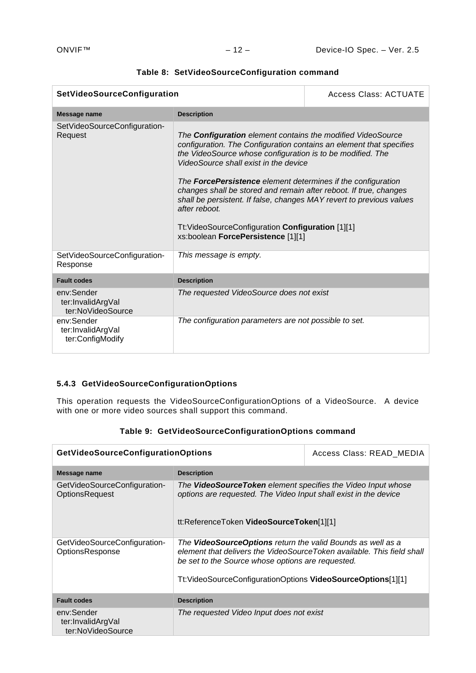| SetVideoSourceConfiguration                                                                                                                                                                                                                                                                                                                                                                                                                                                                                                                                                                                                   |                                                       | Access Class: ACTUATE |
|-------------------------------------------------------------------------------------------------------------------------------------------------------------------------------------------------------------------------------------------------------------------------------------------------------------------------------------------------------------------------------------------------------------------------------------------------------------------------------------------------------------------------------------------------------------------------------------------------------------------------------|-------------------------------------------------------|-----------------------|
| Message name                                                                                                                                                                                                                                                                                                                                                                                                                                                                                                                                                                                                                  | <b>Description</b>                                    |                       |
| SetVideoSourceConfiguration-<br>The <b>Configuration</b> element contains the modified VideoSource<br>Request<br>configuration. The Configuration contains an element that specifies<br>the VideoSource whose configuration is to be modified. The<br>VideoSource shall exist in the device<br>The <b>ForcePersistence</b> element determines if the configuration<br>changes shall be stored and remain after reboot. If true, changes<br>shall be persistent. If false, changes MAY revert to previous values<br>after reboot.<br>Tt: Video Source Configuration Configuration [1][1]<br>xs:boolean ForcePersistence [1][1] |                                                       |                       |
| SetVideoSourceConfiguration-<br>Response                                                                                                                                                                                                                                                                                                                                                                                                                                                                                                                                                                                      | This message is empty.                                |                       |
| <b>Fault codes</b>                                                                                                                                                                                                                                                                                                                                                                                                                                                                                                                                                                                                            | <b>Description</b>                                    |                       |
| env:Sender<br>ter:InvalidArgVal<br>ter:NoVideoSource                                                                                                                                                                                                                                                                                                                                                                                                                                                                                                                                                                          | The requested VideoSource does not exist              |                       |
| env:Sender<br>ter:InvalidArgVal<br>ter:ConfigModify                                                                                                                                                                                                                                                                                                                                                                                                                                                                                                                                                                           | The configuration parameters are not possible to set. |                       |

# **Table 8: SetVideoSourceConfiguration command**

# <span id="page-11-0"></span>**5.4.3 GetVideoSourceConfigurationOptions**

This operation requests the VideoSourceConfigurationOptions of a VideoSource. A device with one or more video sources shall support this command.

| <b>GetVideoSourceConfigurationOptions</b>             |                                                                                                                                                                                                                                                           | Access Class: READ MEDIA |
|-------------------------------------------------------|-----------------------------------------------------------------------------------------------------------------------------------------------------------------------------------------------------------------------------------------------------------|--------------------------|
| Message name                                          | <b>Description</b>                                                                                                                                                                                                                                        |                          |
| GetVideoSourceConfiguration-<br><b>OptionsRequest</b> | The <b>VideoSourceToken</b> element specifies the Video Input whose<br>options are requested. The Video Input shall exist in the device<br>tt:ReferenceToken VideoSourceToken[1][1]                                                                       |                          |
| GetVideoSourceConfiguration-<br>OptionsResponse       | The VideoSourceOptions return the valid Bounds as well as a<br>element that delivers the VideoSourceToken available. This field shall<br>be set to the Source whose options are requested.<br>Tt:VideoSourceConfigurationOptions VideoSourceOptions[1][1] |                          |
| <b>Fault codes</b>                                    | <b>Description</b>                                                                                                                                                                                                                                        |                          |
| env:Sender<br>ter:InvalidArgVal<br>ter:NoVideoSource  | The requested Video Input does not exist                                                                                                                                                                                                                  |                          |

|  | Table 9: GetVideoSourceConfigurationOptions command |
|--|-----------------------------------------------------|
|--|-----------------------------------------------------|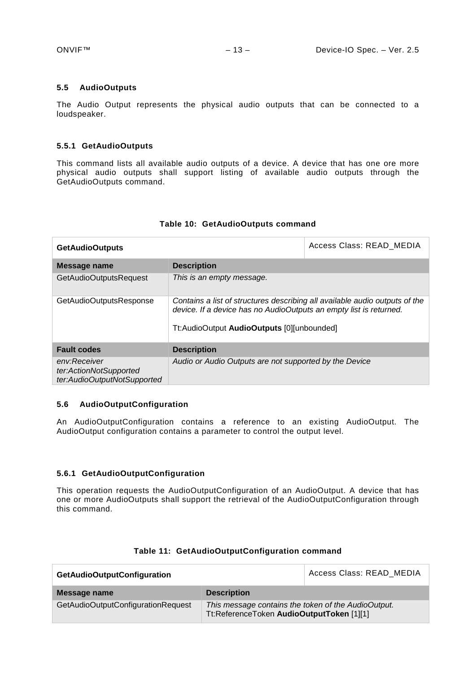#### <span id="page-12-0"></span>**5.5 AudioOutputs**

The Audio Output represents the physical audio outputs that can be connected to a loudspeaker.

#### <span id="page-12-1"></span>**5.5.1 GetAudioOutputs**

This command lists all available audio outputs of a device. A device that has one ore more physical audio outputs shall support listing of available audio outputs through the GetAudioOutputs command.

| <b>GetAudioOutputs</b>                                                | Access Class: READ MEDIA                                                                                                                                                                        |  |
|-----------------------------------------------------------------------|-------------------------------------------------------------------------------------------------------------------------------------------------------------------------------------------------|--|
| Message name                                                          | <b>Description</b>                                                                                                                                                                              |  |
| GetAudioOutputsRequest                                                | This is an empty message.                                                                                                                                                                       |  |
| GetAudioOutputsResponse                                               | Contains a list of structures describing all available audio outputs of the<br>device. If a device has no AudioOutputs an empty list is returned.<br>Tt:AudioOutput AudioOutputs [0][unbounded] |  |
| <b>Fault codes</b>                                                    | <b>Description</b>                                                                                                                                                                              |  |
| env:Receiver<br>ter:ActionNotSupported<br>ter:AudioOutputNotSupported | Audio or Audio Outputs are not supported by the Device                                                                                                                                          |  |

#### **Table 10: GetAudioOutputs command**

#### <span id="page-12-2"></span>**5.6 AudioOutputConfiguration**

An AudioOutputConfiguration contains a reference to an existing AudioOutput. The AudioOutput configuration contains a parameter to control the output level.

#### <span id="page-12-3"></span>**5.6.1 GetAudioOutputConfiguration**

This operation requests the AudioOutputConfiguration of an AudioOutput. A device that has one or more AudioOutputs shall support the retrieval of the AudioOutputConfiguration through this command.

| <b>GetAudioOutputConfiguration</b> |                                                                                                  | Access Class: READ MEDIA |
|------------------------------------|--------------------------------------------------------------------------------------------------|--------------------------|
| Message name                       | <b>Description</b>                                                                               |                          |
| GetAudioOutputConfigurationRequest | This message contains the token of the AudioOutput.<br>Tt:ReferenceToken AudioOutputToken [1][1] |                          |

#### **Table 11: GetAudioOutputConfiguration command**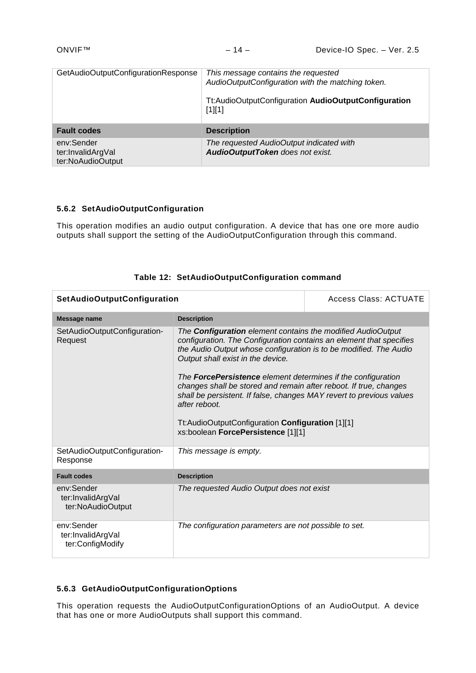| GetAudioOutputConfigurationResponse | This message contains the requested<br>AudioOutputConfiguration with the matching token.<br>Tt:AudioOutputConfiguration AudioOutputConfiguration<br>$[1][1]$ |
|-------------------------------------|--------------------------------------------------------------------------------------------------------------------------------------------------------------|
| <b>Fault codes</b>                  | <b>Description</b>                                                                                                                                           |
| env:Sender<br>ter:InvalidArgVal     | The requested AudioOutput indicated with<br>AudioOutputToken does not exist.                                                                                 |

## <span id="page-13-0"></span>**5.6.2 SetAudioOutputConfiguration**

This operation modifies an audio output configuration. A device that has one ore more audio outputs shall support the setting of the AudioOutputConfiguration through this command.

| <b>SetAudioOutputConfiguration</b>                   |                                                                                                                                                                                                                                                                                                                                                                                                                                                                                                                                                                                    | <b>Access Class: ACTUATE</b> |
|------------------------------------------------------|------------------------------------------------------------------------------------------------------------------------------------------------------------------------------------------------------------------------------------------------------------------------------------------------------------------------------------------------------------------------------------------------------------------------------------------------------------------------------------------------------------------------------------------------------------------------------------|------------------------------|
| Message name                                         | <b>Description</b>                                                                                                                                                                                                                                                                                                                                                                                                                                                                                                                                                                 |                              |
| SetAudioOutputConfiguration-<br>Request              | The <b>Configuration</b> element contains the modified AudioOutput<br>configuration. The Configuration contains an element that specifies<br>the Audio Output whose configuration is to be modified. The Audio<br>Output shall exist in the device.<br>The <b>ForcePersistence</b> element determines if the configuration<br>changes shall be stored and remain after reboot. If true, changes<br>shall be persistent. If false, changes MAY revert to previous values<br>after reboot.<br>Tt:AudioOutputConfiguration Configuration [1][1]<br>xs:boolean ForcePersistence [1][1] |                              |
| SetAudioOutputConfiguration-<br>Response             | This message is empty.                                                                                                                                                                                                                                                                                                                                                                                                                                                                                                                                                             |                              |
| <b>Fault codes</b>                                   | <b>Description</b>                                                                                                                                                                                                                                                                                                                                                                                                                                                                                                                                                                 |                              |
| env:Sender<br>ter:InvalidArgVal<br>ter:NoAudioOutput | The requested Audio Output does not exist                                                                                                                                                                                                                                                                                                                                                                                                                                                                                                                                          |                              |
| env:Sender<br>ter:InvalidArgVal<br>ter:ConfigModify  | The configuration parameters are not possible to set.                                                                                                                                                                                                                                                                                                                                                                                                                                                                                                                              |                              |

## **Table 12: SetAudioOutputConfiguration command**

#### <span id="page-13-1"></span>**5.6.3 GetAudioOutputConfigurationOptions**

This operation requests the AudioOutputConfigurationOptions of an AudioOutput. A device that has one or more AudioOutputs shall support this command.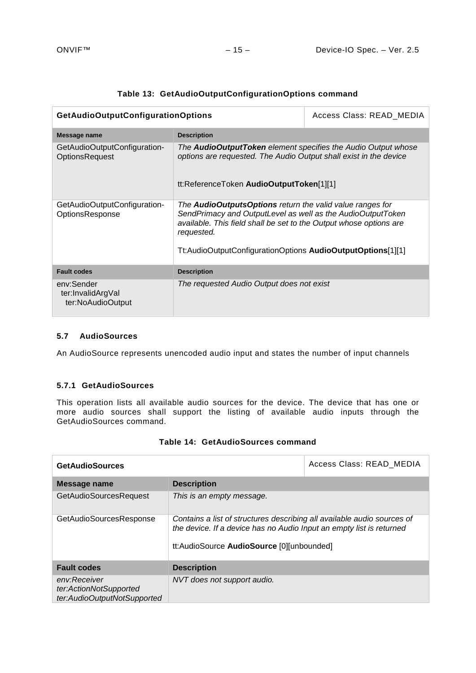| GetAudioOutputConfigurationOptions                    |                                                                                                                                                                                                                                                                                    | Access Class: READ MEDIA |
|-------------------------------------------------------|------------------------------------------------------------------------------------------------------------------------------------------------------------------------------------------------------------------------------------------------------------------------------------|--------------------------|
| Message name                                          | <b>Description</b>                                                                                                                                                                                                                                                                 |                          |
| GetAudioOutputConfiguration-<br><b>OptionsRequest</b> | The <b>AudioOutputToken</b> element specifies the Audio Output whose<br>options are requested. The Audio Output shall exist in the device<br>tt:ReferenceToken AudioOutputToken[1][1]                                                                                              |                          |
| GetAudioOutputConfiguration-<br>OptionsResponse       | The <b>AudioOutputsOptions</b> return the valid value ranges for<br>SendPrimacy and OutputLevel as well as the AudioOutputToken<br>available. This field shall be set to the Output whose options are<br>requested.<br>Tt:AudioOutputConfigurationOptions AudioOutputOptions[1][1] |                          |
| <b>Fault codes</b>                                    | <b>Description</b>                                                                                                                                                                                                                                                                 |                          |
| env:Sender<br>ter:InvalidArgVal<br>ter:NoAudioOutput  | The requested Audio Output does not exist                                                                                                                                                                                                                                          |                          |

# **Table 13: GetAudioOutputConfigurationOptions command**

## <span id="page-14-0"></span>**5.7 AudioSources**

An AudioSource represents unencoded audio input and states the number of input channels

#### <span id="page-14-1"></span>**5.7.1 GetAudioSources**

This operation lists all available audio sources for the device. The device that has one or more audio sources shall support the listing of available audio inputs through the GetAudioSources command.

| <b>GetAudioSources</b>                                                |                                                                                                                                                                                              | Access Class: READ MEDIA |
|-----------------------------------------------------------------------|----------------------------------------------------------------------------------------------------------------------------------------------------------------------------------------------|--------------------------|
| Message name                                                          | <b>Description</b>                                                                                                                                                                           |                          |
| <b>GetAudioSourcesRequest</b>                                         | This is an empty message.                                                                                                                                                                    |                          |
| GetAudioSourcesResponse                                               | Contains a list of structures describing all available audio sources of<br>the device. If a device has no Audio Input an empty list is returned<br>tt:AudioSource AudioSource [0][unbounded] |                          |
| <b>Fault codes</b>                                                    | <b>Description</b>                                                                                                                                                                           |                          |
| env:Receiver<br>ter:ActionNotSupported<br>ter:AudioOutputNotSupported | NVT does not support audio.                                                                                                                                                                  |                          |

|  | Table 14: GetAudioSources command |  |
|--|-----------------------------------|--|
|--|-----------------------------------|--|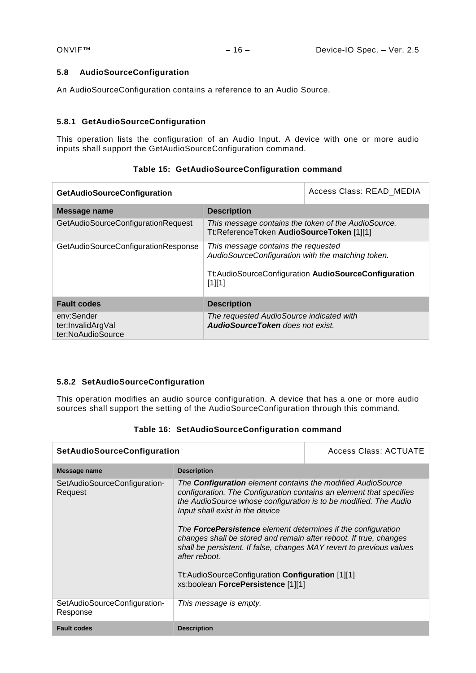#### <span id="page-15-0"></span>**5.8 AudioSourceConfiguration**

An AudioSourceConfiguration contains a reference to an Audio Source.

## <span id="page-15-1"></span>**5.8.1 GetAudioSourceConfiguration**

This operation lists the configuration of an Audio Input. A device with one or more audio inputs shall support the GetAudioSourceConfiguration command.

| <b>GetAudioSourceConfiguration</b>                   |                                                                                                                                                              | Access Class: READ MEDIA |
|------------------------------------------------------|--------------------------------------------------------------------------------------------------------------------------------------------------------------|--------------------------|
| Message name                                         | <b>Description</b>                                                                                                                                           |                          |
| GetAudioSourceConfigurationRequest                   | This message contains the token of the AudioSource.<br>Tt:ReferenceToken AudioSourceToken [1][1]                                                             |                          |
| GetAudioSourceConfigurationResponse                  | This message contains the requested<br>AudioSourceConfiguration with the matching token.<br>Tt:AudioSourceConfiguration AudioSourceConfiguration<br>$[1][1]$ |                          |
| <b>Fault codes</b>                                   | <b>Description</b>                                                                                                                                           |                          |
| env:Sender<br>ter:InvalidArgVal<br>ter:NoAudioSource | The requested AudioSource indicated with<br><b>AudioSourceToken</b> does not exist.                                                                          |                          |

# **Table 15: GetAudioSourceConfiguration command**

## <span id="page-15-2"></span>**5.8.2 SetAudioSourceConfiguration**

This operation modifies an audio source configuration. A device that has a one or more audio sources shall support the setting of the AudioSourceConfiguration through this command.

|  | Table 16: SetAudioSourceConfiguration command |
|--|-----------------------------------------------|
|--|-----------------------------------------------|

| <b>SetAudioSourceConfiguration</b>       |                                                                                                                                                                                                                                                                                                                                                                                                                                                                                                                                                                                 | <b>Access Class: ACTUATE</b> |
|------------------------------------------|---------------------------------------------------------------------------------------------------------------------------------------------------------------------------------------------------------------------------------------------------------------------------------------------------------------------------------------------------------------------------------------------------------------------------------------------------------------------------------------------------------------------------------------------------------------------------------|------------------------------|
| Message name                             | <b>Description</b>                                                                                                                                                                                                                                                                                                                                                                                                                                                                                                                                                              |                              |
| SetAudioSourceConfiguration-<br>Request  | The <b>Configuration</b> element contains the modified AudioSource<br>configuration. The Configuration contains an element that specifies<br>the AudioSource whose configuration is to be modified. The Audio<br>Input shall exist in the device<br>The <b>ForcePersistence</b> element determines if the configuration<br>changes shall be stored and remain after reboot. If true, changes<br>shall be persistent. If false, changes MAY revert to previous values<br>after reboot.<br>Tt:AudioSourceConfiguration Configuration [1][1]<br>xs:boolean ForcePersistence [1][1] |                              |
| SetAudioSourceConfiguration-<br>Response | This message is empty.                                                                                                                                                                                                                                                                                                                                                                                                                                                                                                                                                          |                              |
| <b>Fault codes</b>                       | <b>Description</b>                                                                                                                                                                                                                                                                                                                                                                                                                                                                                                                                                              |                              |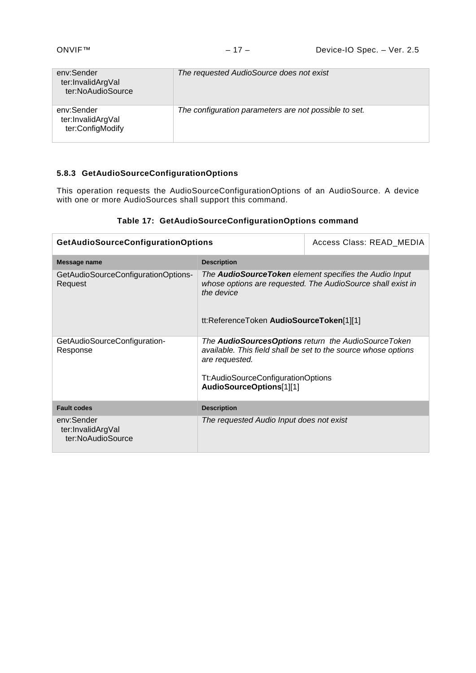| env:Sender<br>ter:InvalidArgVal<br>ter:NoAudioSource | The requested AudioSource does not exist              |
|------------------------------------------------------|-------------------------------------------------------|
| env:Sender<br>ter:InvalidArgVal<br>ter:ConfigModify  | The configuration parameters are not possible to set. |

# <span id="page-16-0"></span>**5.8.3 GetAudioSourceConfigurationOptions**

This operation requests the AudioSourceConfigurationOptions of an AudioSource. A device with one or more AudioSources shall support this command.

# **Table 17: GetAudioSourceConfigurationOptions command**

| <b>GetAudioSourceConfigurationOptions</b>            |                                                                                                                                                                                                           | Access Class: READ_MEDIA |
|------------------------------------------------------|-----------------------------------------------------------------------------------------------------------------------------------------------------------------------------------------------------------|--------------------------|
| Message name                                         | <b>Description</b>                                                                                                                                                                                        |                          |
| GetAudioSourceConfigurationOptions-<br>Request       | The <b>AudioSourceToken</b> element specifies the Audio Input<br>whose options are requested. The AudioSource shall exist in<br>the device<br>tt:ReferenceToken AudioSourceToken[1][1]                    |                          |
| GetAudioSourceConfiguration-<br>Response             | The AudioSourcesOptions return the AudioSourceToken<br>available. This field shall be set to the source whose options<br>are requested.<br>Tt:AudioSourceConfigurationOptions<br>AudioSourceOptions[1][1] |                          |
| <b>Fault codes</b>                                   | <b>Description</b>                                                                                                                                                                                        |                          |
| env:Sender<br>ter:InvalidArgVal<br>ter:NoAudioSource | The requested Audio Input does not exist                                                                                                                                                                  |                          |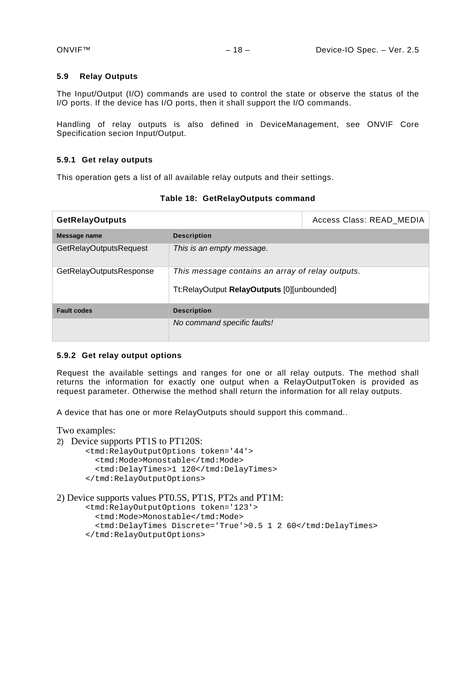#### <span id="page-17-0"></span>**5.9 Relay Outputs**

The Input/Output (I/O) commands are used to control the state or observe the status of the I/O ports. If the device has I/O ports, then it shall support the I/O commands.

Handling of relay outputs is also defined in DeviceManagement, see ONVIF Core Specification secion Input/Output.

#### <span id="page-17-1"></span>**5.9.1 Get relay outputs**

This operation gets a list of all available relay outputs and their settings.

| <b>GetRelayOutputs</b>        |                                                                                                | Access Class: READ MEDIA |
|-------------------------------|------------------------------------------------------------------------------------------------|--------------------------|
| Message name                  | <b>Description</b>                                                                             |                          |
| <b>GetRelayOutputsRequest</b> | This is an empty message.                                                                      |                          |
| GetRelayOutputsResponse       | This message contains an array of relay outputs.<br>Tt:RelayOutput RelayOutputs [0][unbounded] |                          |
| <b>Fault codes</b>            | <b>Description</b>                                                                             |                          |
|                               | No command specific faults!                                                                    |                          |

**Table 18: GetRelayOutputs command**

#### <span id="page-17-2"></span>**5.9.2 Get relay output options**

Request the available settings and ranges for one or all relay outputs. The method shall returns the information for exactly one output when a RelayOutputToken is provided as request parameter. Otherwise the method shall return the information for all relay outputs.

A device that has one or more RelayOutputs should support this command..

Two examples:

- 2) Device supports PT1S to PT120S:
	- <tmd:RelayOutputOptions token='44'> <tmd:Mode>Monostable</tmd:Mode> <tmd:DelayTimes>1 120</tmd:DelayTimes> </tmd:RelayOutputOptions>
- 2) Device supports values PT0.5S, PT1S, PT2s and PT1M:
	- <tmd:RelayOutputOptions token='123'>
		- <tmd:Mode>Monostable</tmd:Mode>
		- <tmd:DelayTimes Discrete='True'>0.5 1 2 60</tmd:DelayTimes>
	- </tmd:RelayOutputOptions>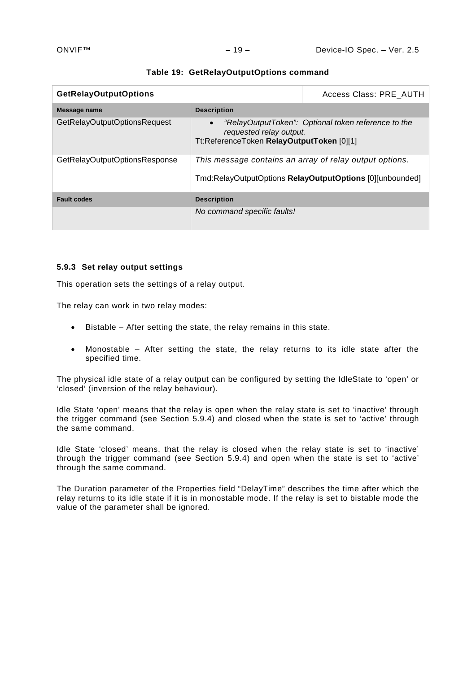| <b>GetRelayOutputOptions</b>  |                                                                                                                     | Access Class: PRE_AUTH                              |
|-------------------------------|---------------------------------------------------------------------------------------------------------------------|-----------------------------------------------------|
| Message name                  | <b>Description</b>                                                                                                  |                                                     |
| GetRelayOutputOptionsRequest  | $\bullet$<br>requested relay output.<br>Tt:ReferenceToken RelayOutputToken [0][1]                                   | "RelayOutputToken": Optional token reference to the |
| GetRelayOutputOptionsResponse | This message contains an array of relay output options.<br>Tmd:RelayOutputOptions RelayOutputOptions [0][unbounded] |                                                     |
| <b>Fault codes</b>            | <b>Description</b>                                                                                                  |                                                     |
|                               | No command specific faults!                                                                                         |                                                     |

#### **Table 19: GetRelayOutputOptions command**

#### <span id="page-18-0"></span>**5.9.3 Set relay output settings**

This operation sets the settings of a relay output.

The relay can work in two relay modes:

- Bistable After setting the state, the relay remains in this state.
- Monostable After setting the state, the relay returns to its idle state after the specified time.

The physical idle state of a relay output can be configured by setting the IdleState to 'open' or 'closed' (inversion of the relay behaviour).

Idle State 'open' means that the relay is open when the relay state is set to 'inactive' through the trigger command (see Section [5.9.4\)](#page-19-0) and closed when the state is set to 'active' through the same command.

Idle State 'closed' means, that the relay is closed when the relay state is set to 'inactive' through the trigger command (see Section [5.9.4\)](#page-19-0) and open when the state is set to 'active' through the same command.

The Duration parameter of the Properties field "DelayTime" describes the time after which the relay returns to its idle state if it is in monostable mode. If the relay is set to bistable mode the value of the parameter shall be ignored.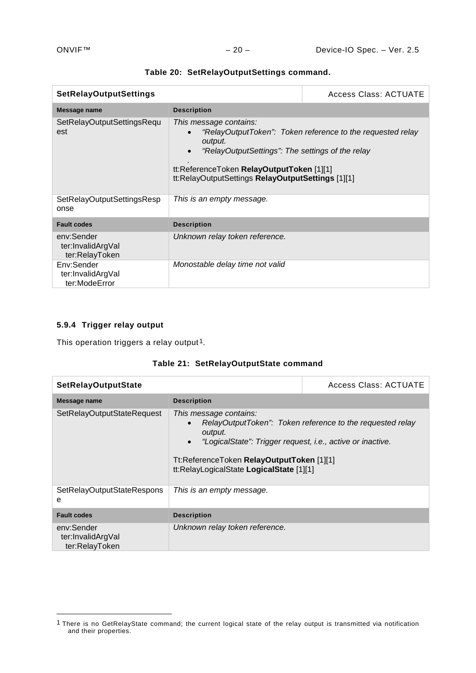| <b>SetRelayOutputSettings</b>                     |                                                                                                                                                                                         | Access Class: ACTUATE                                      |
|---------------------------------------------------|-----------------------------------------------------------------------------------------------------------------------------------------------------------------------------------------|------------------------------------------------------------|
| <b>Message name</b>                               | <b>Description</b>                                                                                                                                                                      |                                                            |
| SetRelayOutputSettingsRequ<br>est                 | This message contains:<br>output.<br>"RelayOutputSettings": The settings of the relay<br>tt:ReferenceToken RelayOutputToken [1][1]<br>tt:RelayOutputSettings RelayOutputSettings [1][1] | "RelayOutputToken": Token reference to the requested relay |
| SetRelayOutputSettingsResp<br>onse                | This is an empty message.                                                                                                                                                               |                                                            |
| <b>Fault codes</b>                                | <b>Description</b>                                                                                                                                                                      |                                                            |
| env:Sender<br>ter:InvalidArgVal<br>ter:RelayToken | Unknown relay token reference.                                                                                                                                                          |                                                            |
| Env:Sender<br>ter:InvalidArgVal<br>ter:ModeError  | Monostable delay time not valid                                                                                                                                                         |                                                            |

|  | Table 20: SetRelayOutputSettings command. |  |
|--|-------------------------------------------|--|
|--|-------------------------------------------|--|

# <span id="page-19-0"></span>**5.9.4 Trigger relay output**

-

This operation triggers a relay output<sup>1</sup>.

|  | Table 21: SetRelayOutputState command |
|--|---------------------------------------|
|--|---------------------------------------|

| <b>SetRelayOutputState</b>                        |                                                                                                                                                                                                       | <b>Access Class: ACTUATE</b>                              |
|---------------------------------------------------|-------------------------------------------------------------------------------------------------------------------------------------------------------------------------------------------------------|-----------------------------------------------------------|
| Message name                                      | <b>Description</b>                                                                                                                                                                                    |                                                           |
| SetRelayOutputStateRequest                        | This message contains:<br>output.<br>"LogicalState": Trigger request, i.e., active or inactive.<br>$\bullet$<br>Tt:ReferenceToken RelayOutputToken [1][1]<br>tt:RelayLogicalState LogicalState [1][1] | RelayOutputToken": Token reference to the requested relay |
| SetRelayOutputStateRespons<br>e                   | This is an empty message.                                                                                                                                                                             |                                                           |
| <b>Fault codes</b>                                | <b>Description</b>                                                                                                                                                                                    |                                                           |
| env:Sender<br>ter:InvalidArgVal<br>ter:RelayToken | Unknown relay token reference.                                                                                                                                                                        |                                                           |

<span id="page-19-1"></span><sup>&</sup>lt;sup>1</sup> There is no GetRelayState command; the current logical state of the relay output is transmitted via notification and their properties.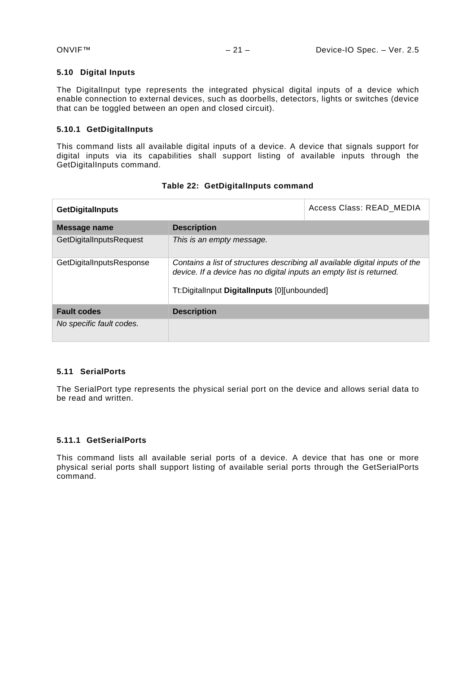#### <span id="page-20-0"></span>**5.10 Digital Inputs**

The DigitalInput type represents the integrated physical digital inputs of a device which enable connection to external devices, such as doorbells, detectors, lights or switches (device that can be toggled between an open and closed circuit).

## <span id="page-20-1"></span>**5.10.1 GetDigitalInputs**

This command lists all available digital inputs of a device. A device that signals support for digital inputs via its capabilities shall support listing of available inputs through the GetDigitalInputs command.

| <b>GetDigitalInputs</b>  |                                                                                                                                                                                                      | Access Class: READ MEDIA |
|--------------------------|------------------------------------------------------------------------------------------------------------------------------------------------------------------------------------------------------|--------------------------|
| Message name             | <b>Description</b>                                                                                                                                                                                   |                          |
| GetDigitalInputsRequest  | This is an empty message.                                                                                                                                                                            |                          |
| GetDigitalInputsResponse | Contains a list of structures describing all available digital inputs of the<br>device. If a device has no digital inputs an empty list is returned.<br>Tt:DigitalInput DigitalInputs [0][unbounded] |                          |
| <b>Fault codes</b>       | <b>Description</b>                                                                                                                                                                                   |                          |
| No specific fault codes. |                                                                                                                                                                                                      |                          |

#### **Table 22: GetDigitalInputs command**

## <span id="page-20-2"></span>**5.11 SerialPorts**

The SerialPort type represents the physical serial port on the device and allows serial data to be read and written.

## <span id="page-20-3"></span>**5.11.1 GetSerialPorts**

This command lists all available serial ports of a device. A device that has one or more physical serial ports shall support listing of available serial ports through the GetSerialPorts command.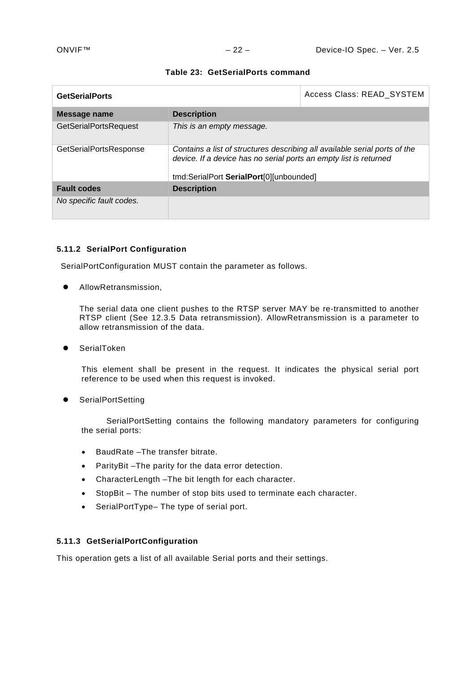| <b>GetSerialPorts</b>        |                                                                                                                                                 | Access Class: READ_SYSTEM |
|------------------------------|-------------------------------------------------------------------------------------------------------------------------------------------------|---------------------------|
| Message name                 | <b>Description</b>                                                                                                                              |                           |
| <b>GetSerialPortsRequest</b> | This is an empty message.                                                                                                                       |                           |
| GetSerialPortsResponse       | Contains a list of structures describing all available serial ports of the<br>device. If a device has no serial ports an empty list is returned |                           |
|                              | tmd:SerialPort SerialPort[0][unbounded]                                                                                                         |                           |
| <b>Fault codes</b>           | <b>Description</b>                                                                                                                              |                           |
| No specific fault codes.     |                                                                                                                                                 |                           |

#### **Table 23: GetSerialPorts command**

#### <span id="page-21-0"></span>**5.11.2 SerialPort Configuration**

SerialPortConfiguration MUST contain the parameter as follows.

AllowRetransmission,

The serial data one client pushes to the RTSP server MAY be re-transmitted to another RTSP client (See 12.3.5 Data retransmission). AllowRetransmission is a parameter to allow retransmission of the data.

SerialToken

This element shall be present in the request. It indicates the physical serial port reference to be used when this request is invoked.

**•** SerialPortSetting

SerialPortSetting contains the following mandatory parameters for configuring the serial ports:

- BaudRate –The transfer bitrate.
- ParityBit –The parity for the data error detection.
- CharacterLength –The bit length for each character.
- StopBit The number of stop bits used to terminate each character.
- SerialPortType– The type of serial port.

# <span id="page-21-1"></span>**5.11.3 GetSerialPortConfiguration**

This operation gets a list of all available Serial ports and their settings.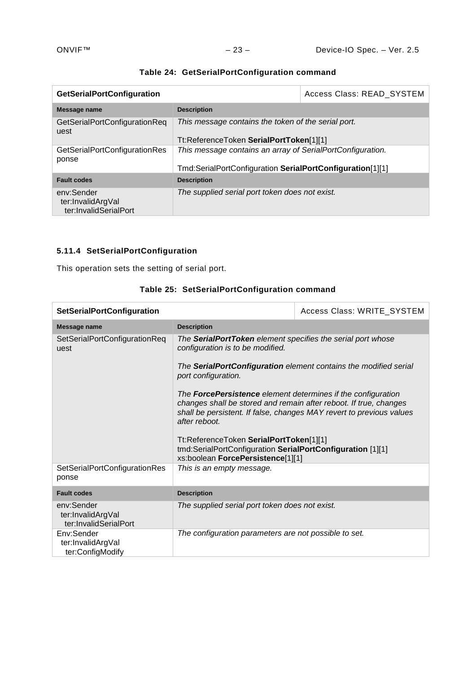| <b>GetSerialPortConfiguration</b>                        |                                                            | Access Class: READ_SYSTEM |
|----------------------------------------------------------|------------------------------------------------------------|---------------------------|
| Message name                                             | <b>Description</b>                                         |                           |
| GetSerialPortConfigurationReq<br>uest                    | This message contains the token of the serial port.        |                           |
|                                                          | Tt:ReferenceToken SerialPortToken[1][1]                    |                           |
| GetSerialPortConfigurationRes<br>ponse                   | This message contains an array of SerialPortConfiguration. |                           |
|                                                          | Tmd:SerialPortConfiguration SerialPortConfiguration[1][1]  |                           |
| <b>Fault codes</b>                                       | <b>Description</b>                                         |                           |
| env:Sender<br>ter:InvalidArgVal<br>ter:InvalidSerialPort | The supplied serial port token does not exist.             |                           |

# **Table 24: GetSerialPortConfiguration command**

# <span id="page-22-0"></span>**5.11.4 SetSerialPortConfiguration**

This operation sets the setting of serial port.

| <b>SetSerialPortConfiguration</b>                        |                                                                                                                                                                                                                                                                                                                                                                                                                                                                                                                                                                               | Access Class: WRITE_SYSTEM |
|----------------------------------------------------------|-------------------------------------------------------------------------------------------------------------------------------------------------------------------------------------------------------------------------------------------------------------------------------------------------------------------------------------------------------------------------------------------------------------------------------------------------------------------------------------------------------------------------------------------------------------------------------|----------------------------|
| Message name                                             | <b>Description</b>                                                                                                                                                                                                                                                                                                                                                                                                                                                                                                                                                            |                            |
| SetSerialPortConfigurationReq<br>uest                    | The SerialPortToken element specifies the serial port whose<br>configuration is to be modified.<br>The SerialPortConfiguration element contains the modified serial<br>port configuration.<br>The <b>ForcePersistence</b> element determines if the configuration<br>changes shall be stored and remain after reboot. If true, changes<br>shall be persistent. If false, changes MAY revert to previous values<br>after reboot.<br>Tt:ReferenceToken SerialPortToken[1][1]<br>tmd:SerialPortConfiguration SerialPortConfiguration [1][1]<br>xs:boolean ForcePersistence[1][1] |                            |
|                                                          |                                                                                                                                                                                                                                                                                                                                                                                                                                                                                                                                                                               |                            |
|                                                          |                                                                                                                                                                                                                                                                                                                                                                                                                                                                                                                                                                               |                            |
|                                                          |                                                                                                                                                                                                                                                                                                                                                                                                                                                                                                                                                                               |                            |
| <b>SetSerialPortConfigurationRes</b><br>ponse            | This is an empty message.                                                                                                                                                                                                                                                                                                                                                                                                                                                                                                                                                     |                            |
| <b>Fault codes</b>                                       | <b>Description</b>                                                                                                                                                                                                                                                                                                                                                                                                                                                                                                                                                            |                            |
| env:Sender<br>ter:InvalidArgVal<br>ter:InvalidSerialPort | The supplied serial port token does not exist.                                                                                                                                                                                                                                                                                                                                                                                                                                                                                                                                |                            |
| Env:Sender<br>ter:InvalidArgVal<br>ter:ConfigModify      | The configuration parameters are not possible to set.                                                                                                                                                                                                                                                                                                                                                                                                                                                                                                                         |                            |

# **Table 25: SetSerialPortConfiguration command**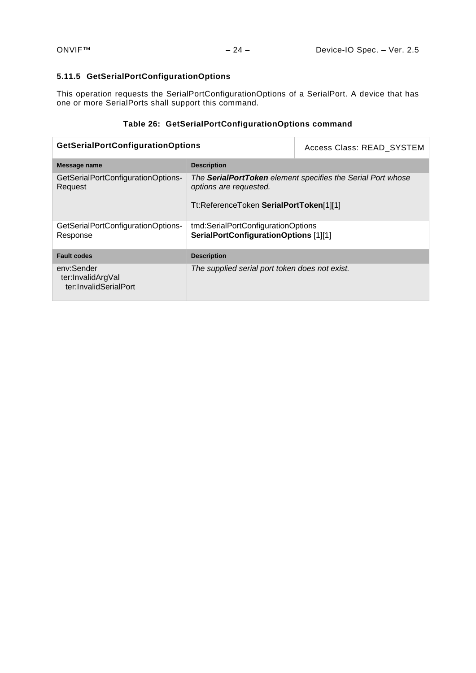# <span id="page-23-0"></span>**5.11.5 GetSerialPortConfigurationOptions**

This operation requests the SerialPortConfigurationOptions of a SerialPort. A device that has one or more SerialPorts shall support this command.

# **Table 26: GetSerialPortConfigurationOptions command**

| <b>GetSerialPortConfigurationOptions</b>                 |                                                                                                                                  | Access Class: READ SYSTEM |
|----------------------------------------------------------|----------------------------------------------------------------------------------------------------------------------------------|---------------------------|
| Message name                                             | <b>Description</b>                                                                                                               |                           |
| GetSerialPortConfigurationOptions-<br>Request            | The SerialPortToken element specifies the Serial Port whose<br>options are requested.<br>Tt:ReferenceToken SerialPortToken[1][1] |                           |
| GetSerialPortConfigurationOptions-<br>Response           | tmd:SerialPortConfigurationOptions<br>SerialPortConfigurationOptions [1][1]                                                      |                           |
| <b>Fault codes</b>                                       | <b>Description</b>                                                                                                               |                           |
| env:Sender<br>ter:InvalidArgVal<br>ter:InvalidSerialPort | The supplied serial port token does not exist.                                                                                   |                           |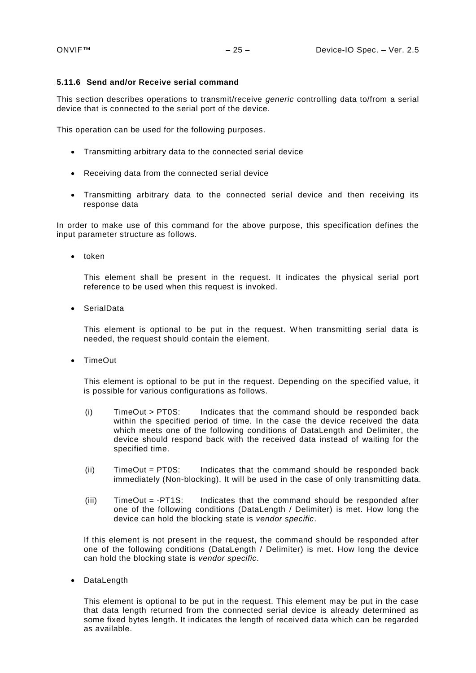#### <span id="page-24-0"></span>**5.11.6 Send and/or Receive serial command**

This section describes operations to transmit/receive *generic* controlling data to/from a serial device that is connected to the serial port of the device.

This operation can be used for the following purposes.

- Transmitting arbitrary data to the connected serial device
- Receiving data from the connected serial device
- Transmitting arbitrary data to the connected serial device and then receiving its response data

In order to make use of this command for the above purpose, this specification defines the input parameter structure as follows.

• token

This element shall be present in the request. It indicates the physical serial port reference to be used when this request is invoked.

• SerialData

This element is optional to be put in the request. When transmitting serial data is needed, the request should contain the element.

• TimeOut

This element is optional to be put in the request. Depending on the specified value, it is possible for various configurations as follows.

- (i) TimeOut > PT0S: Indicates that the command should be responded back within the specified period of time. In the case the device received the data which meets one of the following conditions of DataLength and Delimiter, the device should respond back with the received data instead of waiting for the specified time.
- (ii) TimeOut = PT0S: Indicates that the command should be responded back immediately (Non-blocking). It will be used in the case of only transmitting data.
- (iii) TimeOut = -PT1S: Indicates that the command should be responded after one of the following conditions (DataLength / Delimiter) is met. How long the device can hold the blocking state is *vendor specific*.

If this element is not present in the request, the command should be responded after one of the following conditions (DataLength / Delimiter) is met. How long the device can hold the blocking state is *vendor specific*.

• DataLength

This element is optional to be put in the request. This element may be put in the case that data length returned from the connected serial device is already determined as some fixed bytes length. It indicates the length of received data which can be regarded as available.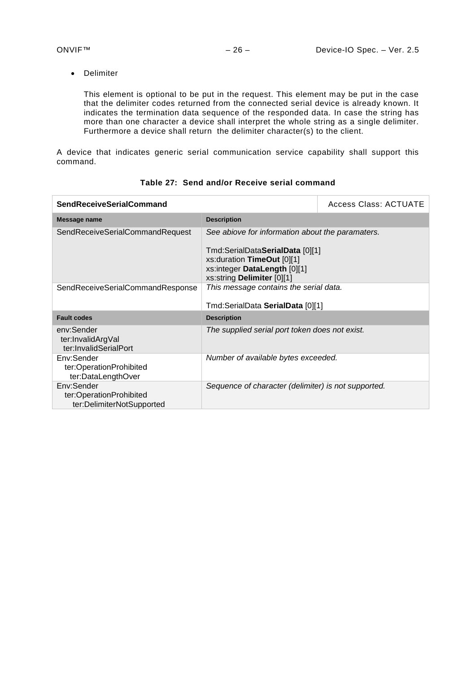• Delimiter

This element is optional to be put in the request. This element may be put in the case that the delimiter codes returned from the connected serial device is already known. It indicates the termination data sequence of the responded data. In case the string has more than one character a device shall interpret the whole string as a single delimiter. Furthermore a device shall return the delimiter character(s) to the client.

A device that indicates generic serial communication service capability shall support this command.

| <b>SendReceiveSerialCommand</b>                                    |                                                                                                                              | <b>Access Class: ACTUATE</b> |
|--------------------------------------------------------------------|------------------------------------------------------------------------------------------------------------------------------|------------------------------|
| Message name                                                       | <b>Description</b>                                                                                                           |                              |
| SendReceiveSerialCommandRequest                                    | See abiove for information about the paramaters.                                                                             |                              |
|                                                                    | Tmd:SerialDataSerialData [0][1]<br>xs: duration TimeOut [0][1]<br>xs:integer DataLength [0][1]<br>xs:string Delimiter [0][1] |                              |
| SendReceiveSerialCommandResponse                                   | This message contains the serial data.                                                                                       |                              |
|                                                                    | Tmd:SerialData SerialData [0][1]                                                                                             |                              |
| <b>Fault codes</b>                                                 | <b>Description</b>                                                                                                           |                              |
| env:Sender<br>ter:InvalidArgVal<br>ter:InvalidSerialPort           | The supplied serial port token does not exist.                                                                               |                              |
| Env:Sender<br>ter:OperationProhibited<br>ter:DataLengthOver        | Number of available bytes exceeded.                                                                                          |                              |
| Env:Sender<br>ter:OperationProhibited<br>ter:DelimiterNotSupported | Sequence of character (delimiter) is not supported.                                                                          |                              |

# **Table 27: Send and/or Receive serial command**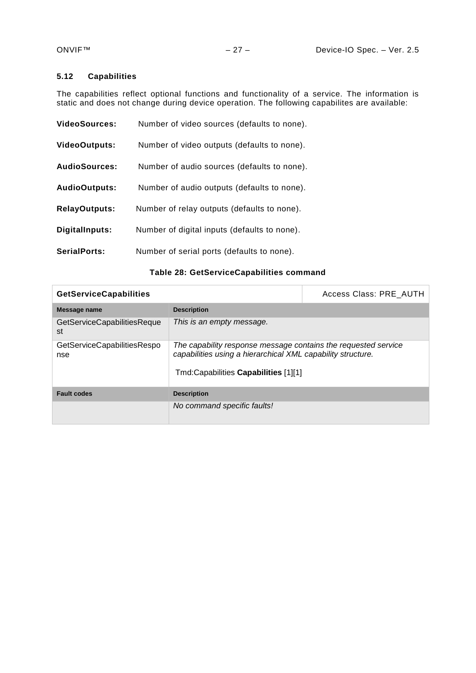# <span id="page-26-0"></span>**5.12 Capabilities**

The capabilities reflect optional functions and functionality of a service. The information is static and does not change during device operation. The following capabilites are available:

| <b>VideoSources:</b> | Number of video sources (defaults to none).  |
|----------------------|----------------------------------------------|
| <b>VideoOutputs:</b> | Number of video outputs (defaults to none).  |
| <b>AudioSources:</b> | Number of audio sources (defaults to none).  |
| <b>AudioOutputs:</b> | Number of audio outputs (defaults to none).  |
| <b>RelayOutputs:</b> | Number of relay outputs (defaults to none).  |
| DigitalInputs:       | Number of digital inputs (defaults to none). |
| <b>SerialPorts:</b>  | Number of serial ports (defaults to none).   |

# **Table 28: GetServiceCapabilities command**

| <b>GetServiceCapabilities</b>      |                                                                                                                               | Access Class: PRE AUTH |
|------------------------------------|-------------------------------------------------------------------------------------------------------------------------------|------------------------|
| Message name                       | <b>Description</b>                                                                                                            |                        |
| GetServiceCapabilitiesReque<br>st  | This is an empty message.                                                                                                     |                        |
| GetServiceCapabilitiesRespo<br>nse | The capability response message contains the requested service<br>capabilities using a hierarchical XML capability structure. |                        |
|                                    | Tmd:Capabilities Capabilities [1][1]                                                                                          |                        |
| <b>Fault codes</b>                 | <b>Description</b>                                                                                                            |                        |
|                                    | No command specific faults!                                                                                                   |                        |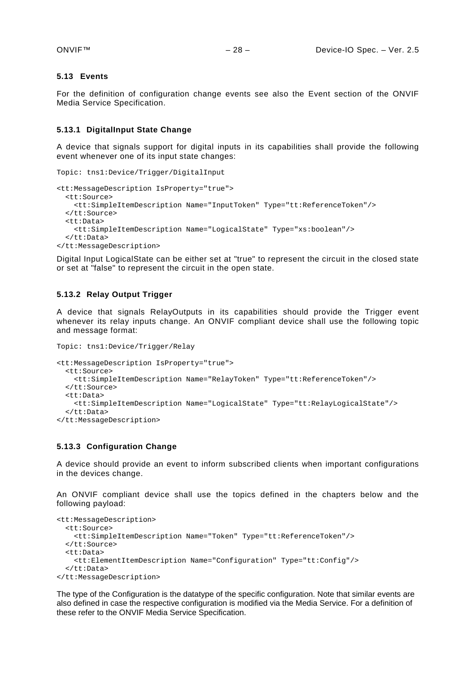#### <span id="page-27-0"></span>**5.13 Events**

For the definition of configuration change events see also the Event section of the ONVIF Media Service Specification.

#### <span id="page-27-1"></span>**5.13.1 DigitalInput State Change**

A device that signals support for digital inputs in its capabilities shall provide the following event whenever one of its input state changes:

```
Topic: tns1:Device/Trigger/DigitalInput
<tt:MessageDescription IsProperty="true">
   <tt:Source>
    <tt:SimpleItemDescription Name="InputToken" Type="tt:ReferenceToken"/>
   </tt:Source>
   <tt:Data>
     <tt:SimpleItemDescription Name="LogicalState" Type="xs:boolean"/>
   </tt:Data>
</tt:MessageDescription>
```
Digital Input LogicalState can be either set at "true" to represent the circuit in the closed state or set at "false" to represent the circuit in the open state.

#### <span id="page-27-2"></span>**5.13.2 Relay Output Trigger**

A device that signals RelayOutputs in its capabilities should provide the Trigger event whenever its relay inputs change. An ONVIF compliant device shall use the following topic and message format:

```
Topic: tns1:Device/Trigger/Relay
<tt:MessageDescription IsProperty="true">
   <tt:Source>
     <tt:SimpleItemDescription Name="RelayToken" Type="tt:ReferenceToken"/>
   </tt:Source>
   <tt:Data>
     <tt:SimpleItemDescription Name="LogicalState" Type="tt:RelayLogicalState"/>
   </tt:Data>
</tt:MessageDescription>
```
#### <span id="page-27-3"></span>**5.13.3 Configuration Change**

A device should provide an event to inform subscribed clients when important configurations in the devices change.

An ONVIF compliant device shall use the topics defined in the chapters below and the following payload:

```
<tt:MessageDescription>
  <tt:Source>
    <tt:SimpleItemDescription Name="Token" Type="tt:ReferenceToken"/>
   </tt:Source>
   <tt:Data>
     <tt:ElementItemDescription Name="Configuration" Type="tt:Config"/>
   </tt:Data>
</tt:MessageDescription>
```
The type of the Configuration is the datatype of the specific configuration. Note that similar events are also defined in case the respective configuration is modified via the Media Service. For a definition of these refer to the ONVIF Media Service Specification.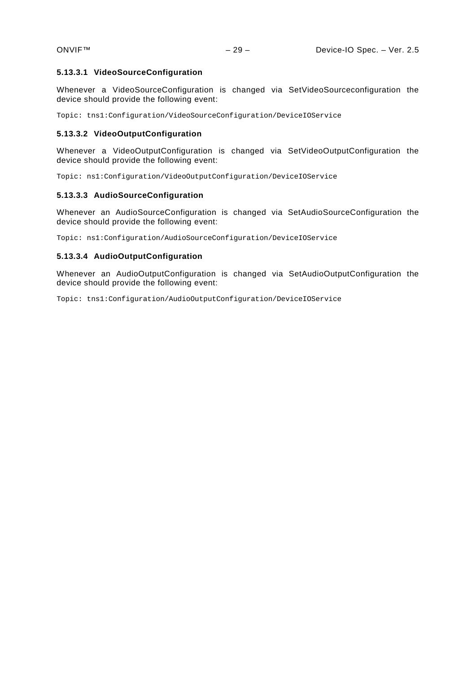#### **5.13.3.1 VideoSourceConfiguration**

Whenever a VideoSourceConfiguration is changed via SetVideoSourceconfiguration the device should provide the following event:

Topic: tns1:Configuration/VideoSourceConfiguration/DeviceIOService

#### **5.13.3.2 VideoOutputConfiguration**

Whenever a VideoOutputConfiguration is changed via SetVideoOutputConfiguration the device should provide the following event:

Topic: ns1:Configuration/VideoOutputConfiguration/DeviceIOService

#### **5.13.3.3 AudioSourceConfiguration**

Whenever an AudioSourceConfiguration is changed via SetAudioSourceConfiguration the device should provide the following event:

Topic: ns1:Configuration/AudioSourceConfiguration/DeviceIOService

#### **5.13.3.4 AudioOutputConfiguration**

Whenever an AudioOutputConfiguration is changed via SetAudioOutputConfiguration the device should provide the following event:

Topic: tns1:Configuration/AudioOutputConfiguration/DeviceIOService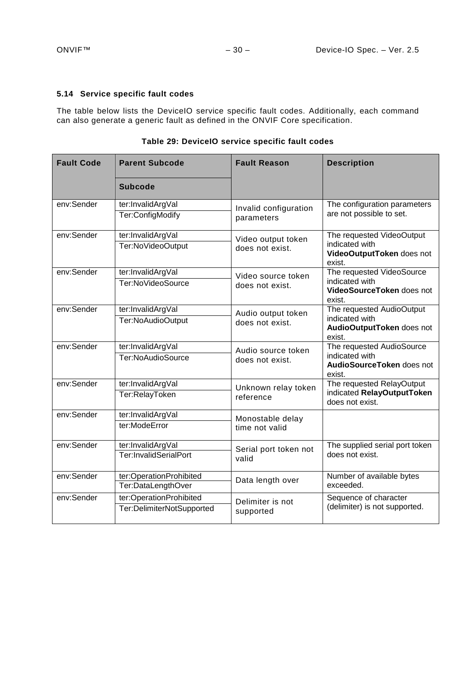# <span id="page-29-0"></span>**5.14 Service specific fault codes**

The table below lists the DeviceIO service specific fault codes. Additionally, each command can also generate a generic fault as defined in the ONVIF Core specification.

| <b>Fault Code</b> | <b>Parent Subcode</b>     | <b>Fault Reason</b>   | <b>Description</b>                                     |
|-------------------|---------------------------|-----------------------|--------------------------------------------------------|
|                   | <b>Subcode</b>            |                       |                                                        |
| env:Sender        | ter:InvalidArgVal         | Invalid configuration | The configuration parameters                           |
|                   | Ter:ConfigModify          | parameters            | are not possible to set.                               |
| env:Sender        | ter:InvalidArgVal         | Video output token    | The requested VideoOutput                              |
|                   | Ter:NoVideoOutput         | does not exist.       | indicated with<br>VideoOutputToken does not<br>exist.  |
| env:Sender        | ter:InvalidArgVal         | Video source token    | The requested VideoSource                              |
|                   | Ter:NoVideoSource         | does not exist.       | indicated with<br>VideoSourceToken does not<br>exist.  |
| env:Sender        | ter:InvalidArgVal         | Audio output token    | The requested AudioOutput                              |
|                   | Ter:NoAudioOutput         | does not exist.       | indicated with<br>AudioOutputToken does not<br>exist.  |
| env:Sender        | ter:InvalidArgVal         | Audio source token    | The requested AudioSource                              |
|                   | Ter:NoAudioSource         | does not exist.       | indicated with<br>AudioSourceToken does not<br>exist.  |
| env:Sender        | ter:InvalidArgVal         | Unknown relay token   | The requested RelayOutput                              |
|                   | Ter:RelayToken            | reference             | indicated RelayOutputToken<br>does not exist.          |
| env:Sender        | ter:InvalidArgVal         | Monostable delay      |                                                        |
|                   | ter:ModeError             | time not valid        |                                                        |
| env:Sender        | ter:InvalidArgVal         | Serial port token not | The supplied serial port token                         |
|                   | Ter:InvalidSerialPort     | valid                 | does not exist.                                        |
| env:Sender        | ter:OperationProhibited   | Data length over      | Number of available bytes                              |
|                   | Ter:DataLengthOver        |                       | exceeded.                                              |
| env:Sender        | ter:OperationProhibited   | Delimiter is not      | Sequence of character<br>(delimiter) is not supported. |
|                   | Ter:DelimiterNotSupported | supported             |                                                        |

**Table 29: DeviceIO service specific fault codes**